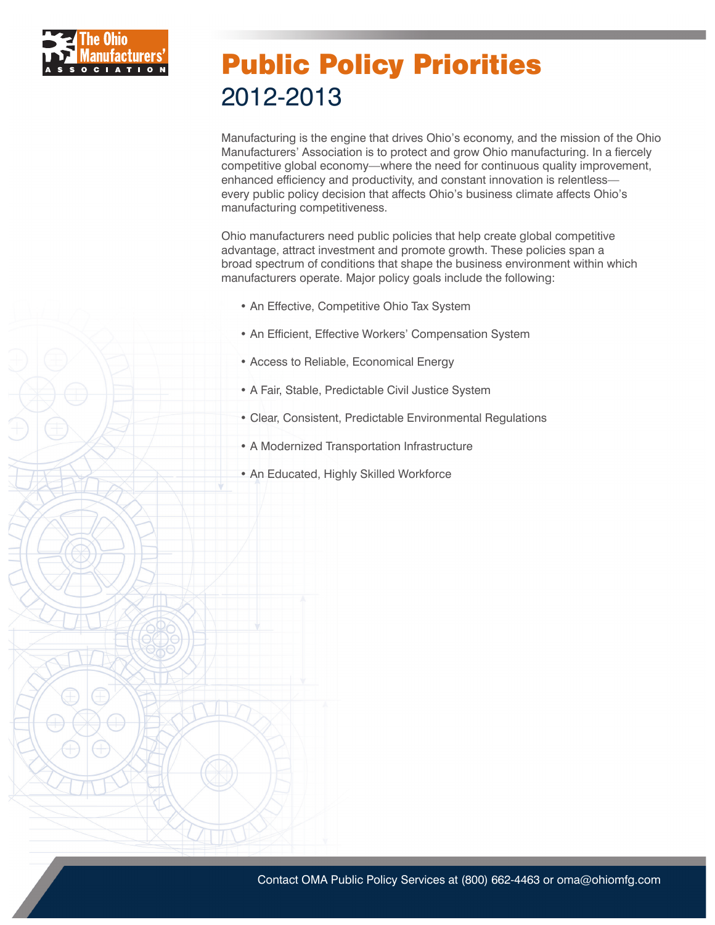

### Public Policy Priorities 2012-2013

Manufacturing is the engine that drives Ohio's economy, and the mission of the Ohio Manufacturers' Association is to protect and grow Ohio manufacturing. In a fiercely competitive global economy—where the need for continuous quality improvement, enhanced efficiency and productivity, and constant innovation is relentless every public policy decision that affects Ohio's business climate affects Ohio's manufacturing competitiveness.

Ohio manufacturers need public policies that help create global competitive advantage, attract investment and promote growth. These policies span a broad spectrum of conditions that shape the business environment within which manufacturers operate. Major policy goals include the following:

- An Effective, Competitive Ohio Tax System
- An Efficient, Effective Workers' Compensation System
- Access to Reliable, Economical Energy
- A Fair, Stable, Predictable Civil Justice System
- Clear, Consistent, Predictable Environmental Regulations
- A Modernized Transportation Infrastructure
- An Educated, Highly Skilled Workforce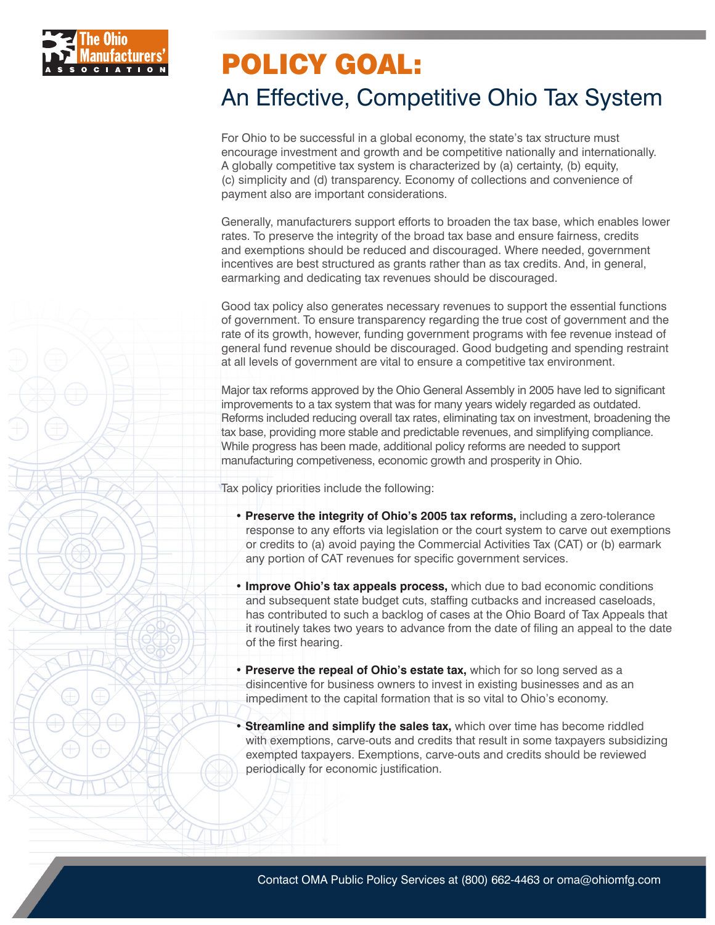

### An Effective, Competitive Ohio Tax System

For Ohio to be successful in a global economy, the state's tax structure must encourage investment and growth and be competitive nationally and internationally. A globally competitive tax system is characterized by (a) certainty, (b) equity, (c) simplicity and (d) transparency. Economy of collections and convenience of payment also are important considerations.

Generally, manufacturers support efforts to broaden the tax base, which enables lower rates. To preserve the integrity of the broad tax base and ensure fairness, credits and exemptions should be reduced and discouraged. Where needed, government incentives are best structured as grants rather than as tax credits. And, in general, earmarking and dedicating tax revenues should be discouraged.

Good tax policy also generates necessary revenues to support the essential functions of government. To ensure transparency regarding the true cost of government and the rate of its growth, however, funding government programs with fee revenue instead of general fund revenue should be discouraged. Good budgeting and spending restraint at all levels of government are vital to ensure a competitive tax environment.

Major tax reforms approved by the Ohio General Assembly in 2005 have led to significant improvements to a tax system that was for many years widely regarded as outdated. Reforms included reducing overall tax rates, eliminating tax on investment, broadening the tax base, providing more stable and predictable revenues, and simplifying compliance. While progress has been made, additional policy reforms are needed to support manufacturing competiveness, economic growth and prosperity in Ohio.

Tax policy priorities include the following:

- **Preserve the integrity of Ohio's 2005 tax reforms,** including a zero-tolerance response to any efforts via legislation or the court system to carve out exemptions or credits to (a) avoid paying the Commercial Activities Tax (CAT) or (b) earmark any portion of CAT revenues for specific government services.
- **Improve Ohio's tax appeals process,** which due to bad economic conditions and subsequent state budget cuts, staffing cutbacks and increased caseloads, has contributed to such a backlog of cases at the Ohio Board of Tax Appeals that it routinely takes two years to advance from the date of filing an appeal to the date of the first hearing.
- **Preserve the repeal of Ohio's estate tax,** which for so long served as a disincentive for business owners to invest in existing businesses and as an impediment to the capital formation that is so vital to Ohio's economy.
- **Streamline and simplify the sales tax, which over time has become riddled** with exemptions, carve-outs and credits that result in some taxpayers subsidizing exempted taxpayers. Exemptions, carve-outs and credits should be reviewed periodically for economic justification.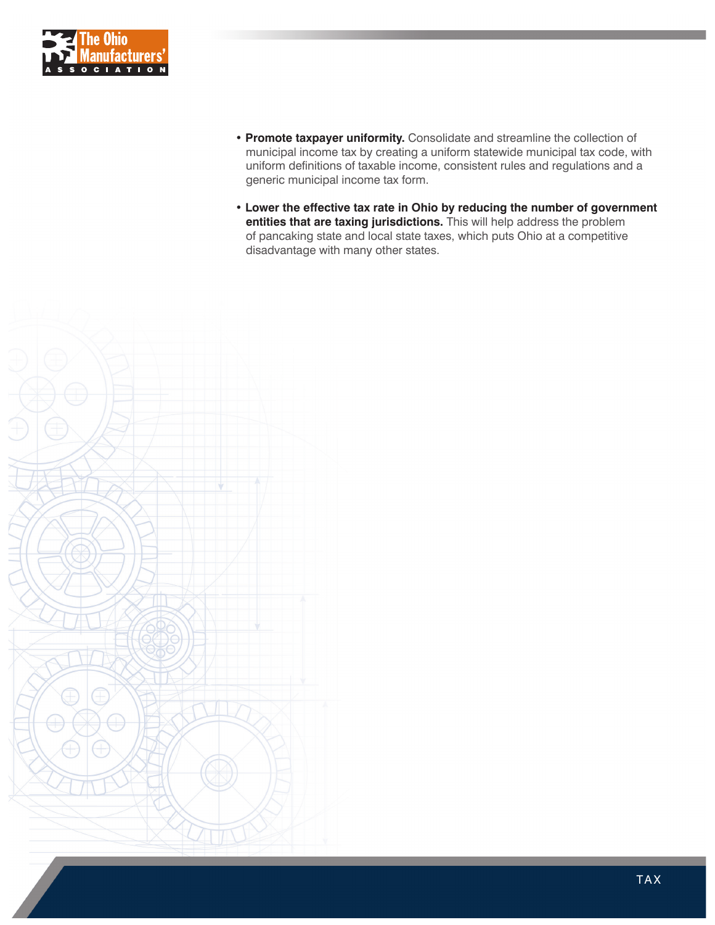

- **Promote taxpayer uniformity.** Consolidate and streamline the collection of municipal income tax by creating a uniform statewide municipal tax code, with uniform definitions of taxable income, consistent rules and regulations and a generic municipal income tax form.
- **Lower the effective tax rate in Ohio by reducing the number of government entities that are taxing jurisdictions.** This will help address the problem of pancaking state and local state taxes, which puts Ohio at a competitive disadvantage with many other states.

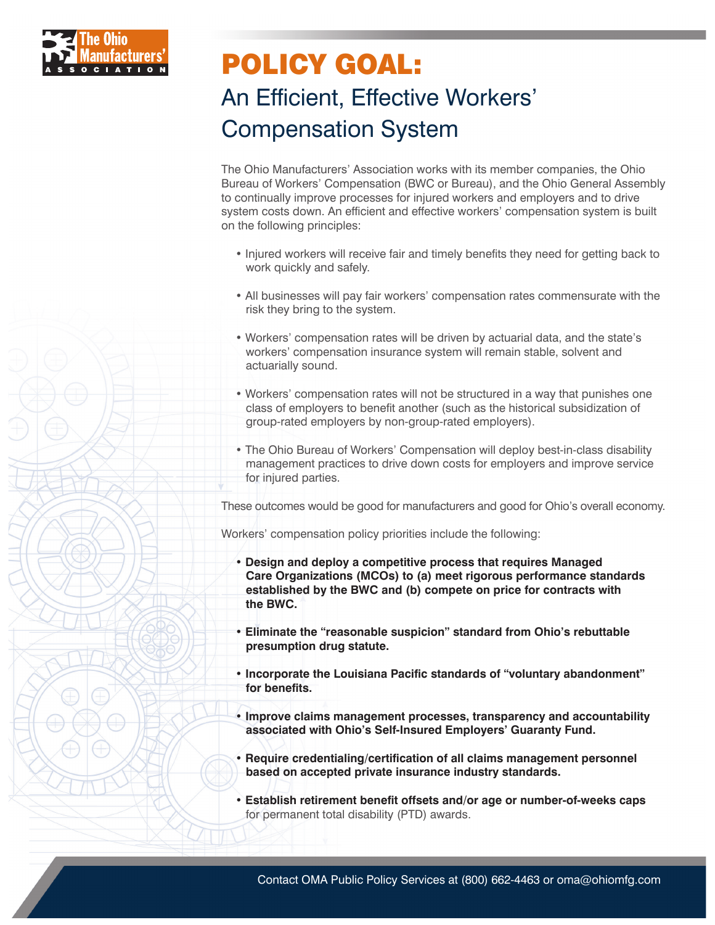

## POLICY GOAL: An Efficient, Effective Workers' Compensation System

The Ohio Manufacturers' Association works with its member companies, the Ohio Bureau of Workers' Compensation (BWC or Bureau), and the Ohio General Assembly to continually improve processes for injured workers and employers and to drive system costs down. An efficient and effective workers' compensation system is built on the following principles:

- Injured workers will receive fair and timely benefits they need for getting back to work quickly and safely.
- All businesses will pay fair workers' compensation rates commensurate with the risk they bring to the system.
- Workers' compensation rates will be driven by actuarial data, and the state's workers' compensation insurance system will remain stable, solvent and actuarially sound.
- Workers' compensation rates will not be structured in a way that punishes one class of employers to benefit another (such as the historical subsidization of group-rated employers by non-group-rated employers).
- The Ohio Bureau of Workers' Compensation will deploy best-in-class disability management practices to drive down costs for employers and improve service for injured parties.

These outcomes would be good for manufacturers and good for Ohio's overall economy.

Workers' compensation policy priorities include the following:

- **Design and deploy a competitive process that requires Managed Care Organizations (MCOs) to (a) meet rigorous performance standards established by the BWC and (b) compete on price for contracts with the BWC.**
- **Eliminate the "reasonable suspicion" standard from Ohio's rebuttable presumption drug statute.**
- **Incorporate the Louisiana Pacific standards of "voluntary abandonment" for benefits.**
- **Improve claims management processes, transparency and accountability associated with Ohio's Self-Insured Employers' Guaranty Fund.**
- **Require credentialing/certification of all claims management personnel based on accepted private insurance industry standards.**
- **Establish retirement benefit offsets and/or age or number-of-weeks caps** for permanent total disability (PTD) awards.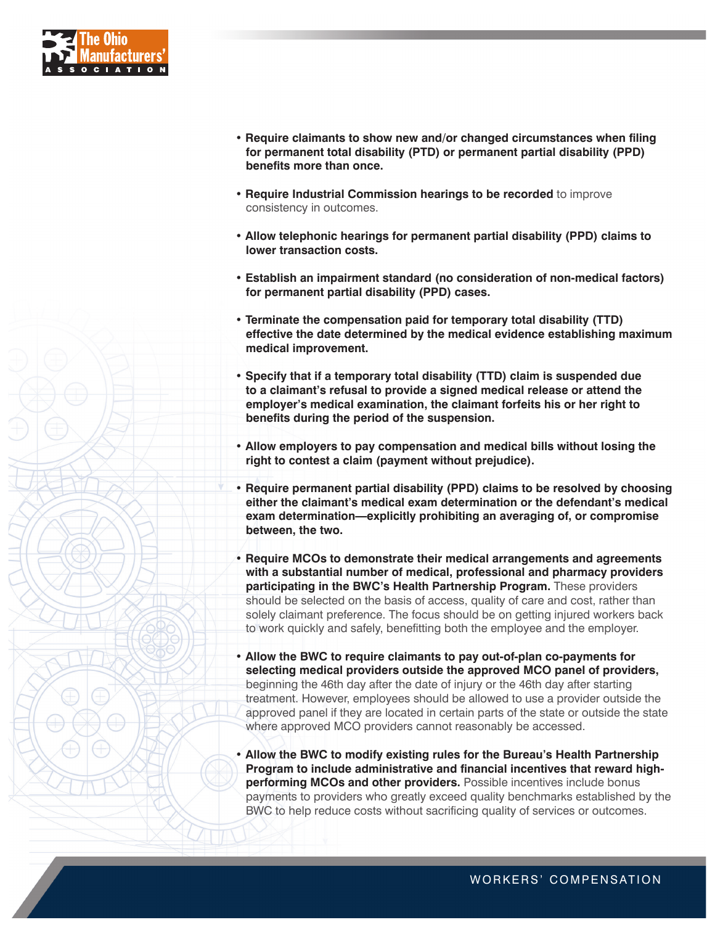

- **Require claimants to show new and/or changed circumstances when filing for permanent total disability (PTD) or permanent partial disability (PPD) benefits more than once.**
- **Require Industrial Commission hearings to be recorded** to improve consistency in outcomes.
- **Allow telephonic hearings for permanent partial disability (PPD) claims to lower transaction costs.**
- **Establish an impairment standard (no consideration of non-medical factors) for permanent partial disability (PPD) cases.**
- **Terminate the compensation paid for temporary total disability (TTD) effective the date determined by the medical evidence establishing maximum medical improvement.**
- **Specify that if a temporary total disability (TTD) claim is suspended due to a claimant's refusal to provide a signed medical release or attend the employer's medical examination, the claimant forfeits his or her right to benefits during the period of the suspension.**
- **Allow employers to pay compensation and medical bills without losing the right to contest a claim (payment without prejudice).**
- **Require permanent partial disability (PPD) claims to be resolved by choosing either the claimant's medical exam determination or the defendant's medical exam determination—explicitly prohibiting an averaging of, or compromise between, the two.**
- **Require MCOs to demonstrate their medical arrangements and agreements with a substantial number of medical, professional and pharmacy providers participating in the BWC's Health Partnership Program.** These providers should be selected on the basis of access, quality of care and cost, rather than solely claimant preference. The focus should be on getting injured workers back to work quickly and safely, benefitting both the employee and the employer.
- **Allow the BWC to require claimants to pay out-of-plan co-payments for selecting medical providers outside the approved MCO panel of providers,** beginning the 46th day after the date of injury or the 46th day after starting treatment. However, employees should be allowed to use a provider outside the approved panel if they are located in certain parts of the state or outside the state where approved MCO providers cannot reasonably be accessed.
- **Allow the BWC to modify existing rules for the Bureau's Health Partnership Program to include administrative and financial incentives that reward highperforming MCOs and other providers.** Possible incentives include bonus payments to providers who greatly exceed quality benchmarks established by the BWC to help reduce costs without sacrificing quality of services or outcomes.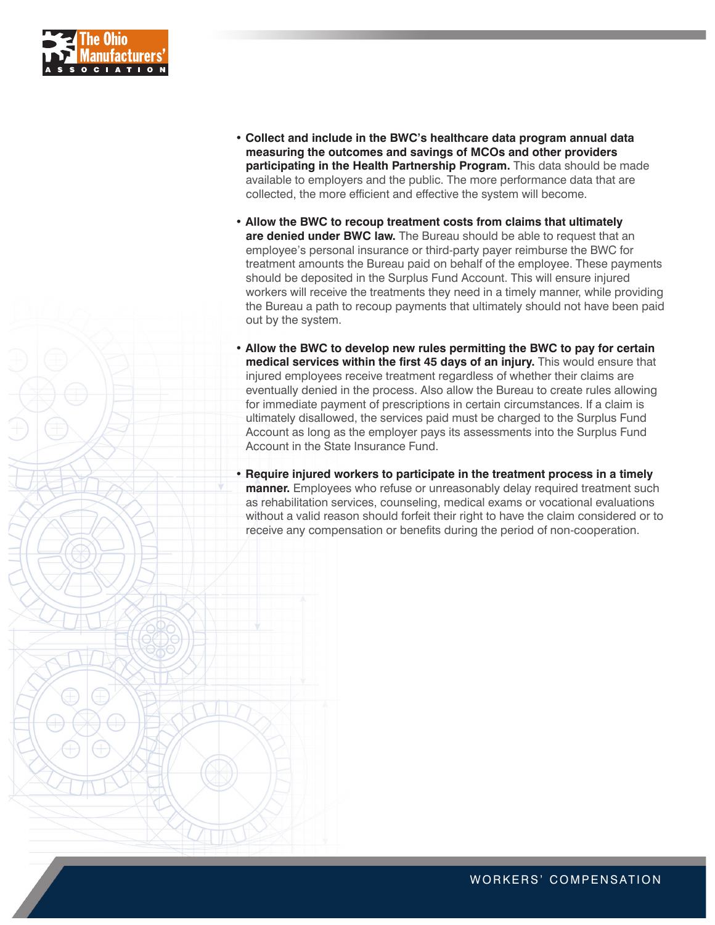

- **Collect and include in the BWC's healthcare data program annual data measuring the outcomes and savings of MCOs and other providers participating in the Health Partnership Program.** This data should be made available to employers and the public. The more performance data that are collected, the more efficient and effective the system will become.
- **Allow the BWC to recoup treatment costs from claims that ultimately are denied under BWC law.** The Bureau should be able to request that an employee's personal insurance or third-party payer reimburse the BWC for treatment amounts the Bureau paid on behalf of the employee. These payments should be deposited in the Surplus Fund Account. This will ensure injured workers will receive the treatments they need in a timely manner, while providing the Bureau a path to recoup payments that ultimately should not have been paid out by the system.
- **Allow the BWC to develop new rules permitting the BWC to pay for certain medical services within the first 45 days of an injury.** This would ensure that injured employees receive treatment regardless of whether their claims are eventually denied in the process. Also allow the Bureau to create rules allowing for immediate payment of prescriptions in certain circumstances. If a claim is ultimately disallowed, the services paid must be charged to the Surplus Fund Account as long as the employer pays its assessments into the Surplus Fund Account in the State Insurance Fund.
- **Require injured workers to participate in the treatment process in a timely manner.** Employees who refuse or unreasonably delay required treatment such as rehabilitation services, counseling, medical exams or vocational evaluations without a valid reason should forfeit their right to have the claim considered or to receive any compensation or benefits during the period of non-cooperation.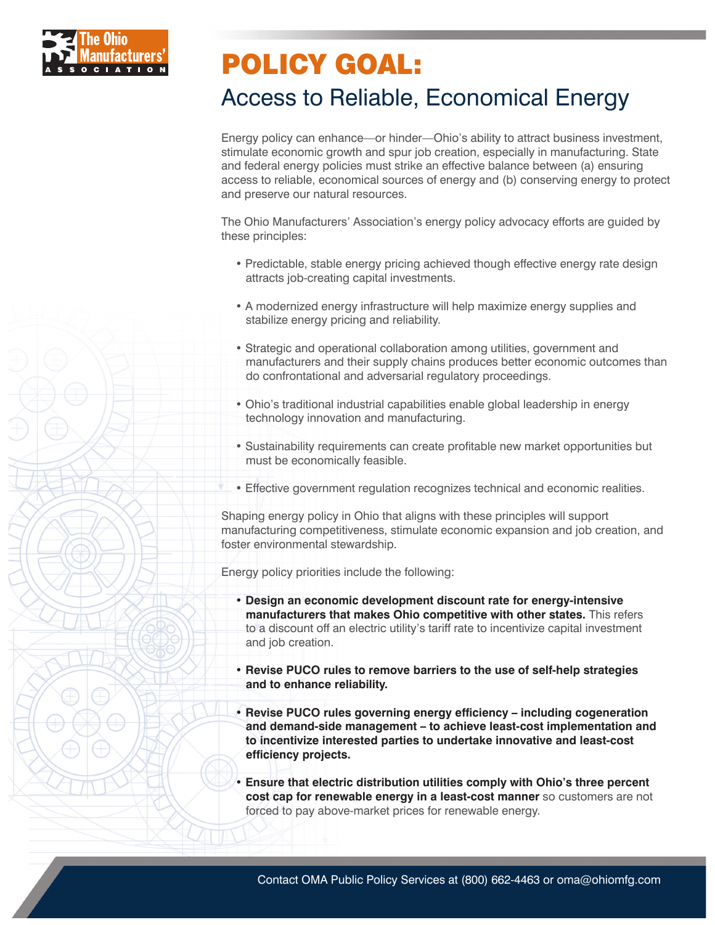

#### Access to Reliable, Economical Energy

Energy policy can enhance—or hinder—Ohio's ability to attract business investment, stimulate economic growth and spur job creation, especially in manufacturing. State and federal energy policies must strike an effective balance between (a) ensuring access to reliable, economical sources of energy and (b) conserving energy to protect and preserve our natural resources.

The Ohio Manufacturers' Association's energy policy advocacy efforts are guided by these principles:

- Predictable, stable energy pricing achieved though effective energy rate design attracts job-creating capital investments.
- A modernized energy infrastructure will help maximize energy supplies and stabilize energy pricing and reliability.
- Strategic and operational collaboration among utilities, government and manufacturers and their supply chains produces better economic outcomes than do confrontational and adversarial regulatory proceedings.
- Ohio's traditional industrial capabilities enable global leadership in energy technology innovation and manufacturing.
- Sustainability requirements can create profitable new market opportunities but must be economically feasible.
- Effective government regulation recognizes technical and economic realities.

Shaping energy policy in Ohio that aligns with these principles will support manufacturing competitiveness, stimulate economic expansion and job creation, and foster environmental stewardship.

Energy policy priorities include the following:

- **Design an economic development discount rate for energy-intensive manufacturers that makes Ohio competitive with other states.** This refers to a discount off an electric utility's tariff rate to incentivize capital investment and job creation.
- **Revise PUCO rules to remove barriers to the use of self-help strategies and to enhance reliability.**
- **Revise PUCO rules governing energy efficiency including cogeneration and demand-side management – to achieve least-cost implementation and to incentivize interested parties to undertake innovative and least-cost efficiency projects.**
- **Ensure that electric distribution utilities comply with Ohio's three percent cost cap for renewable energy in a least-cost manner** so customers are not forced to pay above-market prices for renewable energy.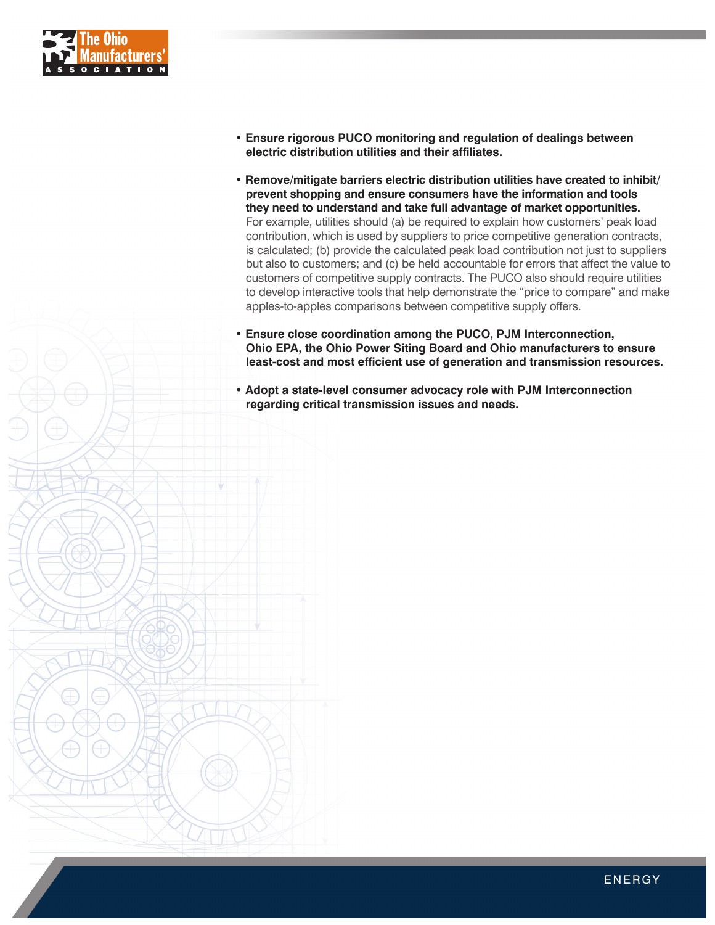

- **Ensure rigorous PUCO monitoring and regulation of dealings between electric distribution utilities and their affiliates.**
- **Remove/mitigate barriers electric distribution utilities have created to inhibit/ prevent shopping and ensure consumers have the information and tools they need to understand and take full advantage of market opportunities.** For example, utilities should (a) be required to explain how customers' peak load contribution, which is used by suppliers to price competitive generation contracts, is calculated; (b) provide the calculated peak load contribution not just to suppliers but also to customers; and (c) be held accountable for errors that affect the value to customers of competitive supply contracts. The PUCO also should require utilities to develop interactive tools that help demonstrate the "price to compare" and make apples-to-apples comparisons between competitive supply offers.
- **Ensure close coordination among the PUCO, PJM Interconnection, Ohio EPA, the Ohio Power Siting Board and Ohio manufacturers to ensure least-cost and most efficient use of generation and transmission resources.**
- **Adopt a state-level consumer advocacy role with PJM Interconnection regarding critical transmission issues and needs.**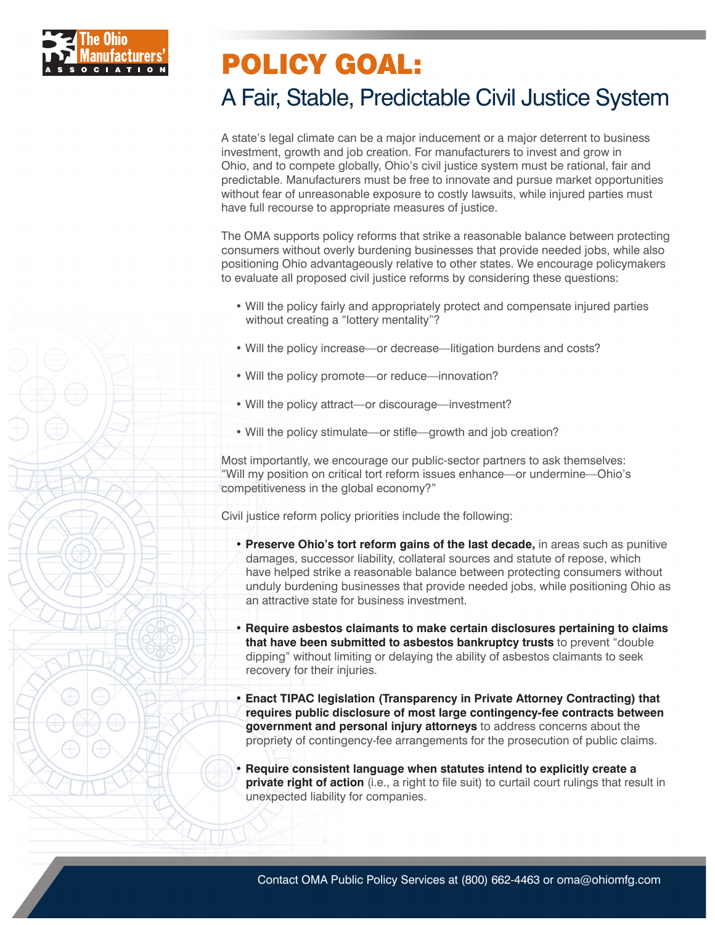

#### A Fair, Stable, Predictable Civil Justice System

A state's legal climate can be a major inducement or a major deterrent to business investment, growth and job creation. For manufacturers to invest and grow in Ohio, and to compete globally, Ohio's civil justice system must be rational, fair and predictable. Manufacturers must be free to innovate and pursue market opportunities without fear of unreasonable exposure to costly lawsuits, while injured parties must have full recourse to appropriate measures of justice.

The OMA supports policy reforms that strike a reasonable balance between protecting consumers without overly burdening businesses that provide needed jobs, while also positioning Ohio advantageously relative to other states. We encourage policymakers to evaluate all proposed civil justice reforms by considering these questions:

- Will the policy fairly and appropriately protect and compensate injured parties without creating a "lottery mentality"?
- Will the policy increase—or decrease—litigation burdens and costs?
- Will the policy promote—or reduce—innovation?
- Will the policy attract—or discourage—investment?
- Will the policy stimulate—or stifle—growth and job creation?

Most importantly, we encourage our public-sector partners to ask themselves: "Will my position on critical tort reform issues enhance—or undermine—Ohio's competitiveness in the global economy?"

Civil justice reform policy priorities include the following:

- **Preserve Ohio's tort reform gains of the last decade,** in areas such as punitive damages, successor liability, collateral sources and statute of repose, which have helped strike a reasonable balance between protecting consumers without unduly burdening businesses that provide needed jobs, while positioning Ohio as an attractive state for business investment.
- **Require asbestos claimants to make certain disclosures pertaining to claims that have been submitted to asbestos bankruptcy trusts** to prevent "double dipping" without limiting or delaying the ability of asbestos claimants to seek recovery for their injuries.
- **Enact TIPAC legislation (Transparency in Private Attorney Contracting) that requires public disclosure of most large contingency-fee contracts between government and personal injury attorneys** to address concerns about the propriety of contingency-fee arrangements for the prosecution of public claims.
- **Require consistent language when statutes intend to explicitly create a private right of action** (i.e., a right to file suit) to curtail court rulings that result in unexpected liability for companies.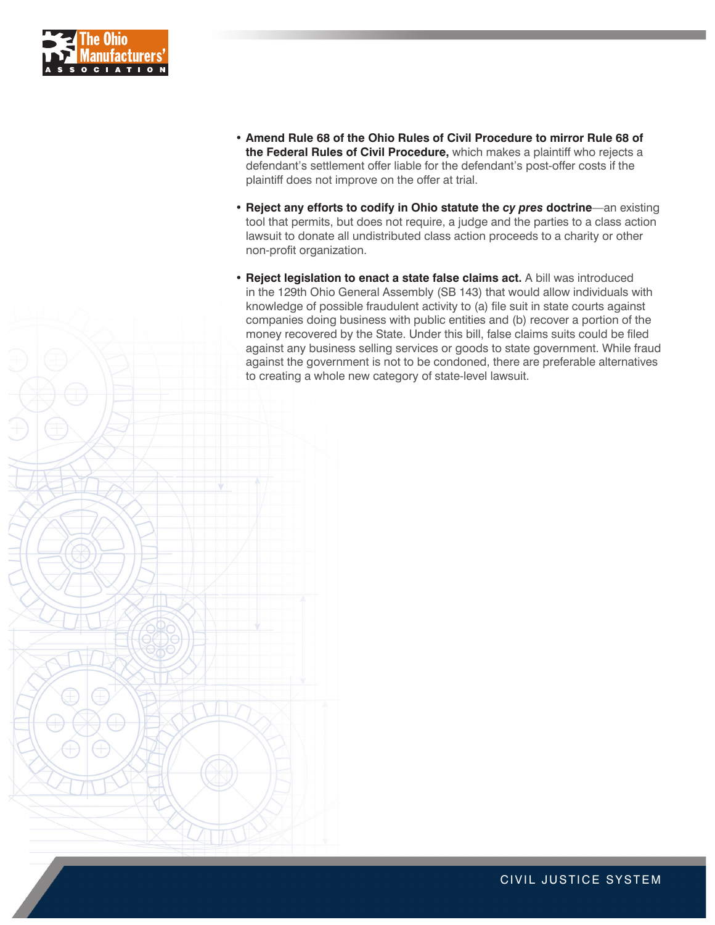

- **• Amend Rule 68 of the Ohio Rules of Civil Procedure to mirror Rule 68 of the Federal Rules of Civil Procedure,** which makes a plaintiff who rejects a defendant's settlement offer liable for the defendant's post-offer costs if the plaintiff does not improve on the offer at trial.
- **• Reject any efforts to codify in Ohio statute the** *cy pres* **doctrine**—an existing tool that permits, but does not require, a judge and the parties to a class action lawsuit to donate all undistributed class action proceeds to a charity or other non-profit organization.
- **• Reject legislation to enact a state false claims act.** A bill was introduced in the 129th Ohio General Assembly (SB 143) that would allow individuals with knowledge of possible fraudulent activity to (a) file suit in state courts against companies doing business with public entities and (b) recover a portion of the money recovered by the State. Under this bill, false claims suits could be filed against any business selling services or goods to state government. While fraud against the government is not to be condoned, there are preferable alternatives to creating a whole new category of state-level lawsuit.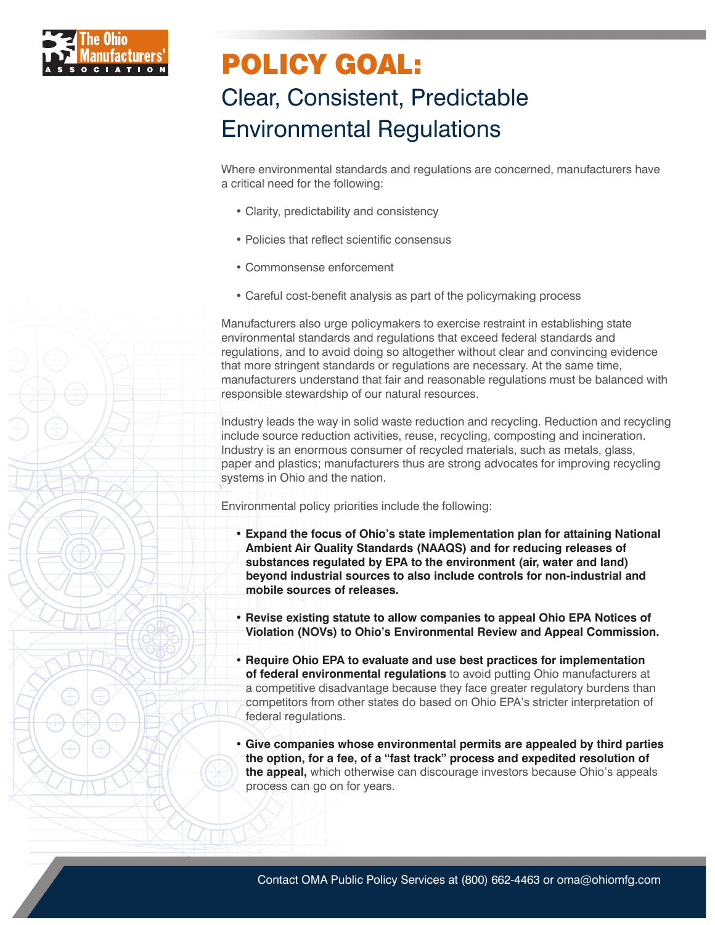

### Clear, Consistent, Predictable Environmental Regulations

Where environmental standards and regulations are concerned, manufacturers have a critical need for the following:

- Clarity, predictability and consistency
- Policies that reflect scientific consensus
- Commonsense enforcement
- Careful cost-benefit analysis as part of the policymaking process

Manufacturers also urge policymakers to exercise restraint in establishing state environmental standards and regulations that exceed federal standards and regulations, and to avoid doing so altogether without clear and convincing evidence that more stringent standards or regulations are necessary. At the same time, manufacturers understand that fair and reasonable regulations must be balanced with responsible stewardship of our natural resources.

Industry leads the way in solid waste reduction and recycling. Reduction and recycling include source reduction activities, reuse, recycling, composting and incineration. Industry is an enormous consumer of recycled materials, such as metals, glass, paper and plastics; manufacturers thus are strong advocates for improving recycling systems in Ohio and the nation.

Environmental policy priorities include the following:

- **Expand the focus of Ohio's state implementation plan for attaining National Ambient Air Quality Standards (NAAQS) and for reducing releases of substances regulated by EPA to the environment (air, water and land) beyond industrial sources to also include controls for non-industrial and mobile sources of releases.**
- **Revise existing statute to allow companies to appeal Ohio EPA Notices of Violation (NOVs) to Ohio's Environmental Review and Appeal Commission.**
- **Require Ohio EPA to evaluate and use best practices for implementation of federal environmental regulations** to avoid putting Ohio manufacturers at a competitive disadvantage because they face greater regulatory burdens than competitors from other states do based on Ohio EPA's stricter interpretation of federal regulations.
- **Give companies whose environmental permits are appealed by third parties the option, for a fee, of a "fast track" process and expedited resolution of the appeal,** which otherwise can discourage investors because Ohio's appeals process can go on for years.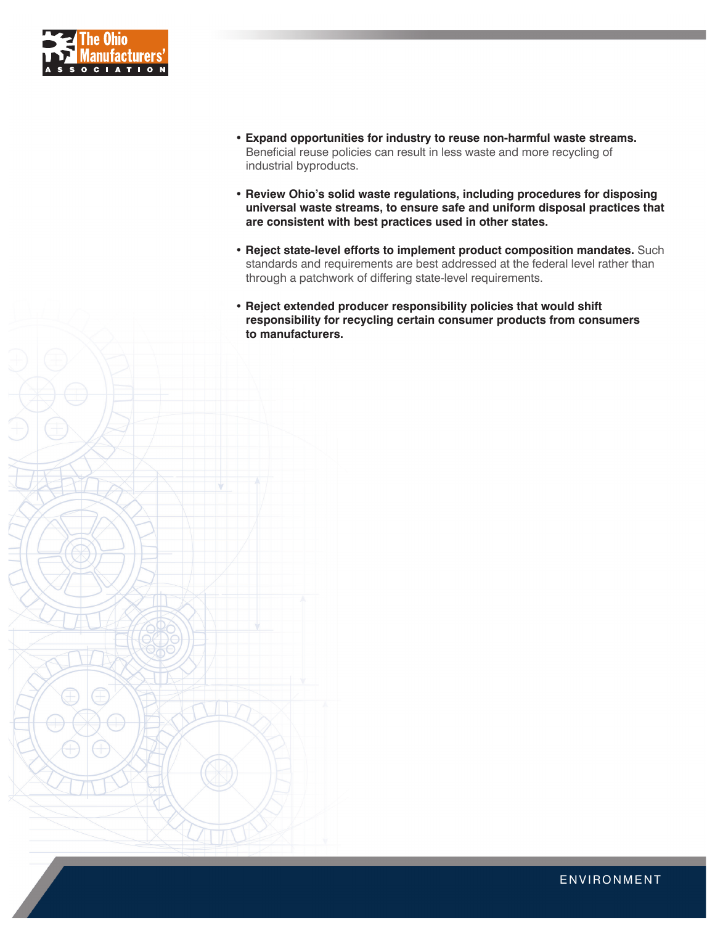

- **Expand opportunities for industry to reuse non-harmful waste streams.** Beneficial reuse policies can result in less waste and more recycling of industrial byproducts.
- **Review Ohio's solid waste regulations, including procedures for disposing universal waste streams, to ensure safe and uniform disposal practices that are consistent with best practices used in other states.**
- **Reject state-level efforts to implement product composition mandates.** Such standards and requirements are best addressed at the federal level rather than through a patchwork of differing state-level requirements.
- **Reject extended producer responsibility policies that would shift responsibility for recycling certain consumer products from consumers to manufacturers.**

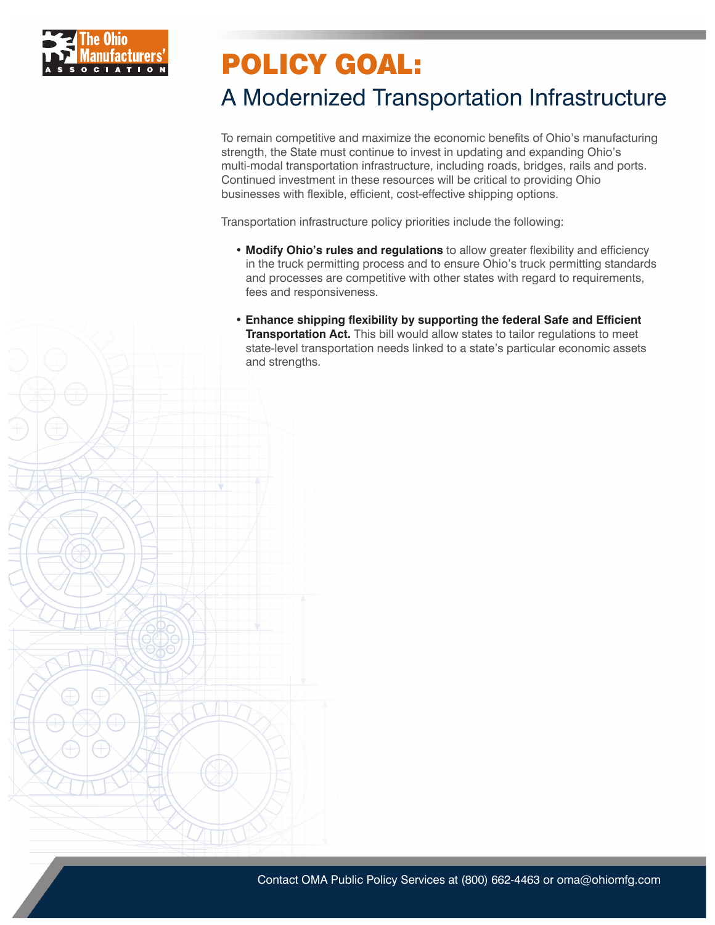

### A Modernized Transportation Infrastructure

To remain competitive and maximize the economic benefits of Ohio's manufacturing strength, the State must continue to invest in updating and expanding Ohio's multi-modal transportation infrastructure, including roads, bridges, rails and ports. Continued investment in these resources will be critical to providing Ohio businesses with flexible, efficient, cost-effective shipping options.

Transportation infrastructure policy priorities include the following:

- **Modify Ohio's rules and regulations** to allow greater flexibility and efficiency in the truck permitting process and to ensure Ohio's truck permitting standards and processes are competitive with other states with regard to requirements, fees and responsiveness.
- **Enhance shipping flexibility by supporting the federal Safe and Efficient Transportation Act.** This bill would allow states to tailor regulations to meet state-level transportation needs linked to a state's particular economic assets and strengths.